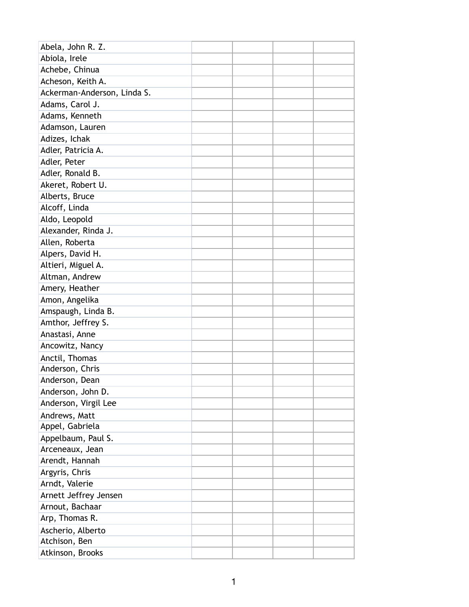| Abela, John R. Z.           |  |  |
|-----------------------------|--|--|
| Abiola, Irele               |  |  |
| Achebe, Chinua              |  |  |
| Acheson, Keith A.           |  |  |
| Ackerman-Anderson, Linda S. |  |  |
| Adams, Carol J.             |  |  |
| Adams, Kenneth              |  |  |
| Adamson, Lauren             |  |  |
| Adizes, Ichak               |  |  |
| Adler, Patricia A.          |  |  |
| Adler, Peter                |  |  |
| Adler, Ronald B.            |  |  |
| Akeret, Robert U.           |  |  |
| Alberts, Bruce              |  |  |
| Alcoff, Linda               |  |  |
| Aldo, Leopold               |  |  |
| Alexander, Rinda J.         |  |  |
| Allen, Roberta              |  |  |
| Alpers, David H.            |  |  |
| Altieri, Miguel A.          |  |  |
| Altman, Andrew              |  |  |
| Amery, Heather              |  |  |
| Amon, Angelika              |  |  |
| Amspaugh, Linda B.          |  |  |
| Amthor, Jeffrey S.          |  |  |
| Anastasi, Anne              |  |  |
| Ancowitz, Nancy             |  |  |
| Anctil, Thomas              |  |  |
| Anderson, Chris             |  |  |
| Anderson, Dean              |  |  |
| Anderson, John D.           |  |  |
| Anderson, Virgil Lee        |  |  |
| Andrews, Matt               |  |  |
| Appel, Gabriela             |  |  |
| Appelbaum, Paul S.          |  |  |
| Arceneaux, Jean             |  |  |
| Arendt, Hannah              |  |  |
| Argyris, Chris              |  |  |
| Arndt, Valerie              |  |  |
| Arnett Jeffrey Jensen       |  |  |
| Arnout, Bachaar             |  |  |
| Arp, Thomas R.              |  |  |
| Ascherio, Alberto           |  |  |
| Atchison, Ben               |  |  |
| Atkinson, Brooks            |  |  |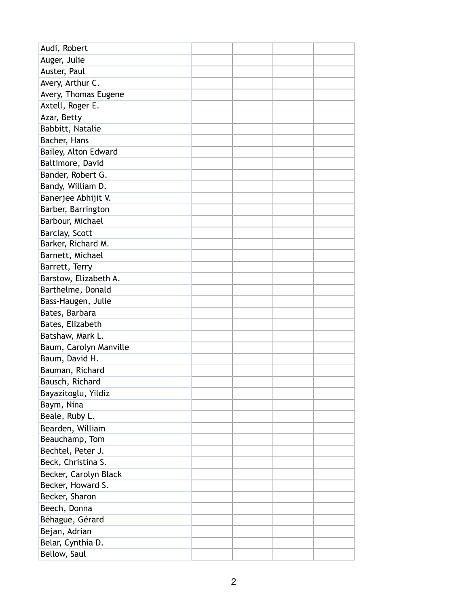| Audi, Robert           |  |  |
|------------------------|--|--|
| Auger, Julie           |  |  |
| Auster, Paul           |  |  |
| Avery, Arthur C.       |  |  |
| Avery, Thomas Eugene   |  |  |
| Axtell, Roger E.       |  |  |
| Azar, Betty            |  |  |
| Babbitt, Natalie       |  |  |
| Bacher, Hans           |  |  |
| Bailey, Alton Edward   |  |  |
| Baltimore, David       |  |  |
| Bander, Robert G.      |  |  |
| Bandy, William D.      |  |  |
| Banerjee Abhijit V.    |  |  |
| Barber, Barrington     |  |  |
| Barbour, Michael       |  |  |
| Barclay, Scott         |  |  |
| Barker, Richard M.     |  |  |
| Barnett, Michael       |  |  |
| Barrett, Terry         |  |  |
| Barstow, Elizabeth A.  |  |  |
| Barthelme, Donald      |  |  |
| Bass-Haugen, Julie     |  |  |
| Bates, Barbara         |  |  |
| Bates, Elizabeth       |  |  |
| Batshaw, Mark L.       |  |  |
| Baum, Carolyn Manville |  |  |
| Baum, David H.         |  |  |
| Bauman, Richard        |  |  |
| Bausch, Richard        |  |  |
| Bayazitoglu, Yildiz    |  |  |
| Baym, Nina             |  |  |
| Beale, Ruby L.         |  |  |
| Bearden, William       |  |  |
| Beauchamp, Tom         |  |  |
| Bechtel, Peter J.      |  |  |
| Beck, Christina S.     |  |  |
| Becker, Carolyn Black  |  |  |
| Becker, Howard S.      |  |  |
| Becker, Sharon         |  |  |
| Beech, Donna           |  |  |
| Béhague, Gérard        |  |  |
| Bejan, Adrian          |  |  |
| Belar, Cynthia D.      |  |  |
| Bellow, Saul           |  |  |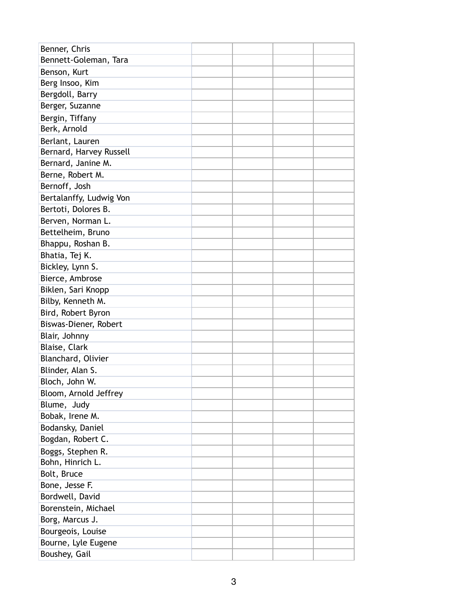| Benner, Chris           |  |  |
|-------------------------|--|--|
| Bennett-Goleman, Tara   |  |  |
| Benson, Kurt            |  |  |
| Berg Insoo, Kim         |  |  |
| Bergdoll, Barry         |  |  |
| Berger, Suzanne         |  |  |
| Bergin, Tiffany         |  |  |
| Berk, Arnold            |  |  |
| Berlant, Lauren         |  |  |
| Bernard, Harvey Russell |  |  |
| Bernard, Janine M.      |  |  |
| Berne, Robert M.        |  |  |
| Bernoff, Josh           |  |  |
| Bertalanffy, Ludwig Von |  |  |
| Bertoti, Dolores B.     |  |  |
| Berven, Norman L.       |  |  |
| Bettelheim, Bruno       |  |  |
| Bhappu, Roshan B.       |  |  |
| Bhatia, Tej K.          |  |  |
| Bickley, Lynn S.        |  |  |
| Bierce, Ambrose         |  |  |
| Biklen, Sari Knopp      |  |  |
| Bilby, Kenneth M.       |  |  |
| Bird, Robert Byron      |  |  |
| Biswas-Diener, Robert   |  |  |
| Blair, Johnny           |  |  |
| Blaise, Clark           |  |  |
| Blanchard, Olivier      |  |  |
| Blinder, Alan S.        |  |  |
| Bloch, John W.          |  |  |
| Bloom, Arnold Jeffrey   |  |  |
| Blume, Judy             |  |  |
| Bobak, Irene M.         |  |  |
| Bodansky, Daniel        |  |  |
| Bogdan, Robert C.       |  |  |
| Boggs, Stephen R.       |  |  |
| Bohn, Hinrich L.        |  |  |
| Bolt, Bruce             |  |  |
| Bone, Jesse F.          |  |  |
| Bordwell, David         |  |  |
| Borenstein, Michael     |  |  |
| Borg, Marcus J.         |  |  |
| Bourgeois, Louise       |  |  |
| Bourne, Lyle Eugene     |  |  |
| Boushey, Gail           |  |  |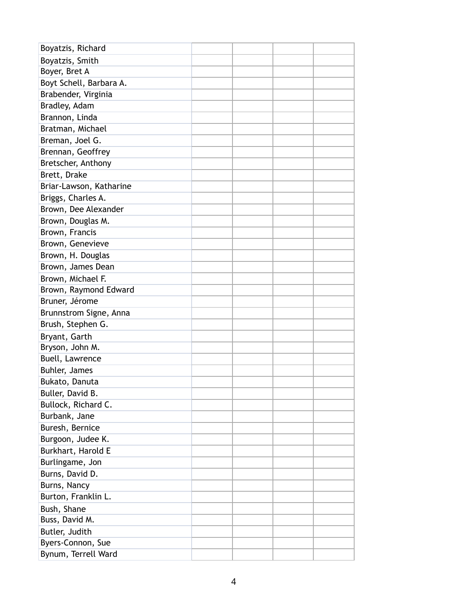| Boyatzis, Richard       |  |  |
|-------------------------|--|--|
| Boyatzis, Smith         |  |  |
| Boyer, Bret A           |  |  |
| Boyt Schell, Barbara A. |  |  |
| Brabender, Virginia     |  |  |
| Bradley, Adam           |  |  |
| Brannon, Linda          |  |  |
| Bratman, Michael        |  |  |
| Breman, Joel G.         |  |  |
| Brennan, Geoffrey       |  |  |
| Bretscher, Anthony      |  |  |
| Brett, Drake            |  |  |
| Briar-Lawson, Katharine |  |  |
| Briggs, Charles A.      |  |  |
| Brown, Dee Alexander    |  |  |
| Brown, Douglas M.       |  |  |
| Brown, Francis          |  |  |
| Brown, Genevieve        |  |  |
| Brown, H. Douglas       |  |  |
| Brown, James Dean       |  |  |
| Brown, Michael F.       |  |  |
| Brown, Raymond Edward   |  |  |
| Bruner, Jérome          |  |  |
| Brunnstrom Signe, Anna  |  |  |
| Brush, Stephen G.       |  |  |
| Bryant, Garth           |  |  |
| Bryson, John M.         |  |  |
| Buell, Lawrence         |  |  |
| Buhler, James           |  |  |
| Bukato, Danuta          |  |  |
| Buller, David B.        |  |  |
| Bullock, Richard C.     |  |  |
| Burbank, Jane           |  |  |
| Buresh, Bernice         |  |  |
| Burgoon, Judee K.       |  |  |
| Burkhart, Harold E      |  |  |
| Burlingame, Jon         |  |  |
| Burns, David D.         |  |  |
| Burns, Nancy            |  |  |
| Burton, Franklin L.     |  |  |
| Bush, Shane             |  |  |
| Buss, David M.          |  |  |
| Butler, Judith          |  |  |
| Byers-Connon, Sue       |  |  |
| Bynum, Terrell Ward     |  |  |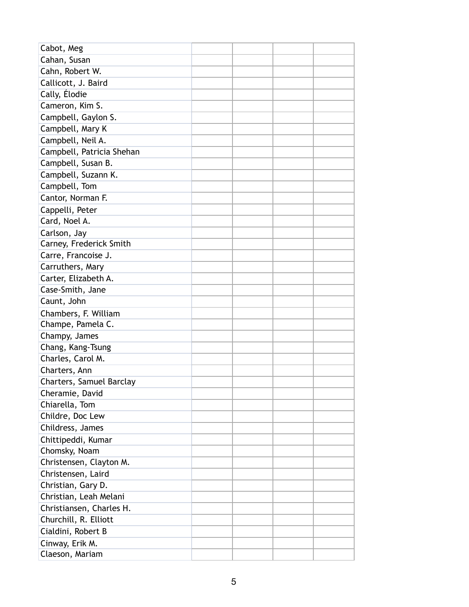| Cabot, Meg                |  |  |
|---------------------------|--|--|
| Cahan, Susan              |  |  |
| Cahn, Robert W.           |  |  |
| Callicott, J. Baird       |  |  |
| Cally, Élodie             |  |  |
| Cameron, Kim S.           |  |  |
| Campbell, Gaylon S.       |  |  |
| Campbell, Mary K          |  |  |
| Campbell, Neil A.         |  |  |
| Campbell, Patricia Shehan |  |  |
| Campbell, Susan B.        |  |  |
| Campbell, Suzann K.       |  |  |
| Campbell, Tom             |  |  |
| Cantor, Norman F.         |  |  |
| Cappelli, Peter           |  |  |
| Card, Noel A.             |  |  |
| Carlson, Jay              |  |  |
| Carney, Frederick Smith   |  |  |
| Carre, Francoise J.       |  |  |
| Carruthers, Mary          |  |  |
| Carter, Elizabeth A.      |  |  |
| Case-Smith, Jane          |  |  |
| Caunt, John               |  |  |
| Chambers, F. William      |  |  |
| Champe, Pamela C.         |  |  |
| Champy, James             |  |  |
| Chang, Kang-Tsung         |  |  |
| Charles, Carol M.         |  |  |
| Charters, Ann             |  |  |
| Charters, Samuel Barclay  |  |  |
| Cheramie, David           |  |  |
| Chiarella, Tom            |  |  |
| Childre, Doc Lew          |  |  |
| Childress, James          |  |  |
| Chittipeddi, Kumar        |  |  |
| Chomsky, Noam             |  |  |
| Christensen, Clayton M.   |  |  |
| Christensen, Laird        |  |  |
| Christian, Gary D.        |  |  |
| Christian, Leah Melani    |  |  |
| Christiansen, Charles H.  |  |  |
| Churchill, R. Elliott     |  |  |
| Cialdini, Robert B        |  |  |
| Cinway, Erik M.           |  |  |
| Claeson, Mariam           |  |  |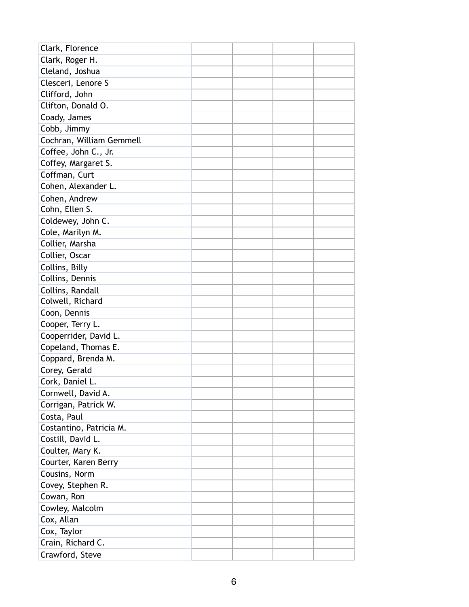| Clark, Florence          |  |  |
|--------------------------|--|--|
| Clark, Roger H.          |  |  |
| Cleland, Joshua          |  |  |
| Clesceri, Lenore S       |  |  |
| Clifford, John           |  |  |
| Clifton, Donald O.       |  |  |
| Coady, James             |  |  |
| Cobb, Jimmy              |  |  |
| Cochran, William Gemmell |  |  |
| Coffee, John C., Jr.     |  |  |
| Coffey, Margaret S.      |  |  |
| Coffman, Curt            |  |  |
| Cohen, Alexander L.      |  |  |
| Cohen, Andrew            |  |  |
| Cohn, Ellen S.           |  |  |
| Coldewey, John C.        |  |  |
| Cole, Marilyn M.         |  |  |
| Collier, Marsha          |  |  |
| Collier, Oscar           |  |  |
| Collins, Billy           |  |  |
| Collins, Dennis          |  |  |
| Collins, Randall         |  |  |
| Colwell, Richard         |  |  |
| Coon, Dennis             |  |  |
| Cooper, Terry L.         |  |  |
| Cooperrider, David L.    |  |  |
| Copeland, Thomas E.      |  |  |
| Coppard, Brenda M.       |  |  |
| Corey, Gerald            |  |  |
| Cork, Daniel L.          |  |  |
| Cornwell, David A.       |  |  |
| Corrigan, Patrick W.     |  |  |
| Costa, Paul              |  |  |
| Costantino, Patricia M.  |  |  |
| Costill, David L.        |  |  |
| Coulter, Mary K.         |  |  |
| Courter, Karen Berry     |  |  |
| Cousins, Norm            |  |  |
| Covey, Stephen R.        |  |  |
| Cowan, Ron               |  |  |
| Cowley, Malcolm          |  |  |
| Cox, Allan               |  |  |
| Cox, Taylor              |  |  |
| Crain, Richard C.        |  |  |
| Crawford, Steve          |  |  |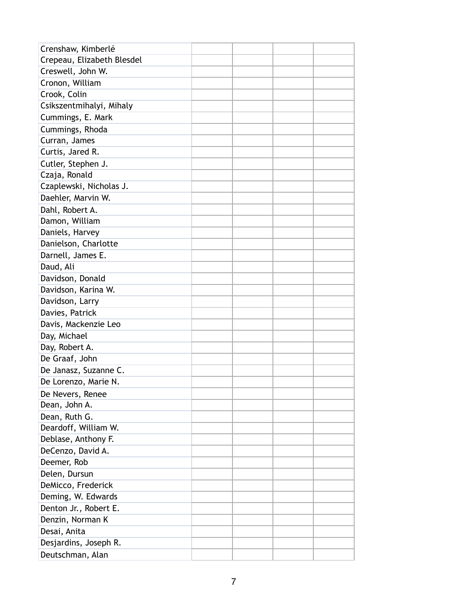| Crenshaw, Kimberlé         |  |  |
|----------------------------|--|--|
| Crepeau, Elizabeth Blesdel |  |  |
| Creswell, John W.          |  |  |
| Cronon, William            |  |  |
| Crook, Colin               |  |  |
| Csikszentmihalyi, Mihaly   |  |  |
| Cummings, E. Mark          |  |  |
| Cummings, Rhoda            |  |  |
| Curran, James              |  |  |
| Curtis, Jared R.           |  |  |
| Cutler, Stephen J.         |  |  |
| Czaja, Ronald              |  |  |
| Czaplewski, Nicholas J.    |  |  |
| Daehler, Marvin W.         |  |  |
| Dahl, Robert A.            |  |  |
| Damon, William             |  |  |
| Daniels, Harvey            |  |  |
| Danielson, Charlotte       |  |  |
| Darnell, James E.          |  |  |
| Daud, Ali                  |  |  |
| Davidson, Donald           |  |  |
| Davidson, Karina W.        |  |  |
| Davidson, Larry            |  |  |
| Davies, Patrick            |  |  |
| Davis, Mackenzie Leo       |  |  |
| Day, Michael               |  |  |
| Day, Robert A.             |  |  |
| De Graaf, John             |  |  |
| De Janasz, Suzanne C.      |  |  |
| De Lorenzo, Marie N.       |  |  |
| De Nevers, Renee           |  |  |
| Dean, John A.              |  |  |
| Dean, Ruth G.              |  |  |
| Deardoff, William W.       |  |  |
| Deblase, Anthony F.        |  |  |
| DeCenzo, David A.          |  |  |
| Deemer, Rob                |  |  |
| Delen, Dursun              |  |  |
| DeMicco, Frederick         |  |  |
| Deming, W. Edwards         |  |  |
| Denton Jr., Robert E.      |  |  |
| Denzin, Norman K           |  |  |
| Desai, Anita               |  |  |
| Desjardins, Joseph R.      |  |  |
| Deutschman, Alan           |  |  |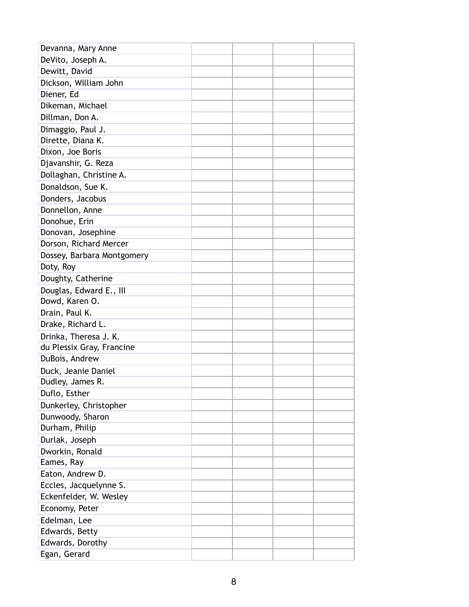| Devanna, Mary Anne         |  |  |
|----------------------------|--|--|
| DeVito, Joseph A.          |  |  |
| Dewitt, David              |  |  |
| Dickson, William John      |  |  |
| Diener, Ed                 |  |  |
| Dikeman, Michael           |  |  |
| Dillman, Don A.            |  |  |
| Dimaggio, Paul J.          |  |  |
| Dirette, Diana K.          |  |  |
| Dixon, Joe Boris           |  |  |
| Djavanshir, G. Reza        |  |  |
| Dollaghan, Christine A.    |  |  |
| Donaldson, Sue K.          |  |  |
| Donders, Jacobus           |  |  |
| Donnellon, Anne            |  |  |
| Donohue, Erin              |  |  |
| Donovan, Josephine         |  |  |
| Dorson, Richard Mercer     |  |  |
| Dossey, Barbara Montgomery |  |  |
| Doty, Roy                  |  |  |
| Doughty, Catherine         |  |  |
| Douglas, Edward E., III    |  |  |
| Dowd, Karen O.             |  |  |
| Drain, Paul K.             |  |  |
| Drake, Richard L.          |  |  |
| Drinka, Theresa J. K.      |  |  |
| du Plessix Gray, Francine  |  |  |
| DuBois, Andrew             |  |  |
| Duck, Jeanie Daniel        |  |  |
| Dudley, James R.           |  |  |
| Duflo, Esther              |  |  |
| Dunkerley, Christopher     |  |  |
| Dunwoody, Sharon           |  |  |
| Durham, Philip             |  |  |
| Durlak, Joseph             |  |  |
| Dworkin, Ronald            |  |  |
| Eames, Ray                 |  |  |
| Eaton, Andrew D.           |  |  |
| Eccles, Jacquelynne S.     |  |  |
| Eckenfelder, W. Wesley     |  |  |
| Economy, Peter             |  |  |
| Edelman, Lee               |  |  |
| Edwards, Betty             |  |  |
| Edwards, Dorothy           |  |  |
| Egan, Gerard               |  |  |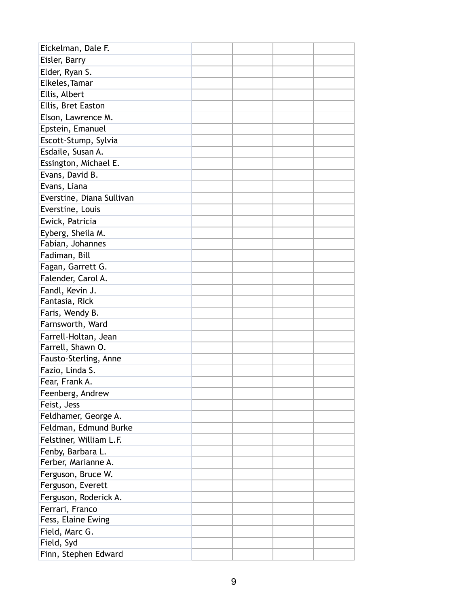| Eickelman, Dale F.        |  |  |
|---------------------------|--|--|
| Eisler, Barry             |  |  |
| Elder, Ryan S.            |  |  |
| Elkeles, Tamar            |  |  |
| Ellis, Albert             |  |  |
| Ellis, Bret Easton        |  |  |
| Elson, Lawrence M.        |  |  |
| Epstein, Emanuel          |  |  |
| Escott-Stump, Sylvia      |  |  |
| Esdaile, Susan A.         |  |  |
| Essington, Michael E.     |  |  |
| Evans, David B.           |  |  |
| Evans, Liana              |  |  |
| Everstine, Diana Sullivan |  |  |
| Everstine, Louis          |  |  |
| Ewick, Patricia           |  |  |
| Eyberg, Sheila M.         |  |  |
| Fabian, Johannes          |  |  |
| Fadiman, Bill             |  |  |
| Fagan, Garrett G.         |  |  |
| Falender, Carol A.        |  |  |
| Fandl, Kevin J.           |  |  |
| Fantasia, Rick            |  |  |
| Faris, Wendy B.           |  |  |
| Farnsworth, Ward          |  |  |
| Farrell-Holtan, Jean      |  |  |
| Farrell, Shawn O.         |  |  |
| Fausto-Sterling, Anne     |  |  |
| Fazio, Linda S.           |  |  |
| Fear, Frank A.            |  |  |
| Feenberg, Andrew          |  |  |
| Feist, Jess               |  |  |
| Feldhamer, George A.      |  |  |
| Feldman, Edmund Burke     |  |  |
| Felstiner, William L.F.   |  |  |
| Fenby, Barbara L.         |  |  |
| Ferber, Marianne A.       |  |  |
| Ferguson, Bruce W.        |  |  |
| Ferguson, Everett         |  |  |
| Ferguson, Roderick A.     |  |  |
| Ferrari, Franco           |  |  |
| Fess, Elaine Ewing        |  |  |
| Field, Marc G.            |  |  |
| Field, Syd                |  |  |
| Finn, Stephen Edward      |  |  |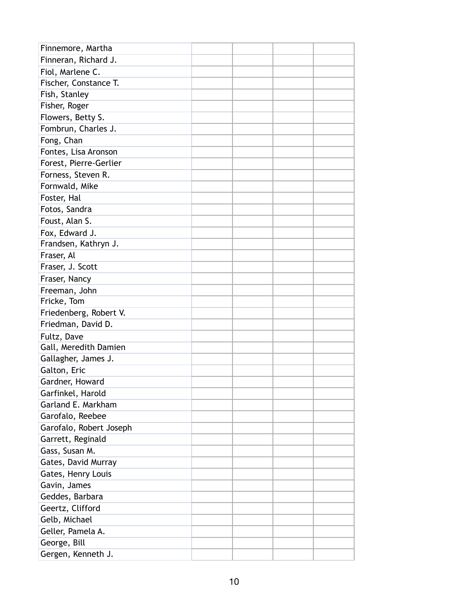| Finnemore, Martha       |  |  |
|-------------------------|--|--|
| Finneran, Richard J.    |  |  |
| Fiol, Marlene C.        |  |  |
| Fischer, Constance T.   |  |  |
| Fish, Stanley           |  |  |
| Fisher, Roger           |  |  |
| Flowers, Betty S.       |  |  |
| Fombrun, Charles J.     |  |  |
| Fong, Chan              |  |  |
| Fontes, Lisa Aronson    |  |  |
| Forest, Pierre-Gerlier  |  |  |
| Forness, Steven R.      |  |  |
| Fornwald, Mike          |  |  |
| Foster, Hal             |  |  |
| Fotos, Sandra           |  |  |
| Foust, Alan S.          |  |  |
| Fox, Edward J.          |  |  |
| Frandsen, Kathryn J.    |  |  |
| Fraser, Al              |  |  |
| Fraser, J. Scott        |  |  |
| Fraser, Nancy           |  |  |
| Freeman, John           |  |  |
| Fricke, Tom             |  |  |
| Friedenberg, Robert V.  |  |  |
| Friedman, David D.      |  |  |
| Fultz, Dave             |  |  |
| Gall, Meredith Damien   |  |  |
| Gallagher, James J.     |  |  |
| Galton, Eric            |  |  |
| Gardner, Howard         |  |  |
| Garfinkel, Harold       |  |  |
| Garland E. Markham      |  |  |
| Garofalo, Reebee        |  |  |
| Garofalo, Robert Joseph |  |  |
| Garrett, Reginald       |  |  |
| Gass, Susan M.          |  |  |
| Gates, David Murray     |  |  |
| Gates, Henry Louis      |  |  |
| Gavin, James            |  |  |
| Geddes, Barbara         |  |  |
| Geertz, Clifford        |  |  |
| Gelb, Michael           |  |  |
| Geller, Pamela A.       |  |  |
| George, Bill            |  |  |
| Gergen, Kenneth J.      |  |  |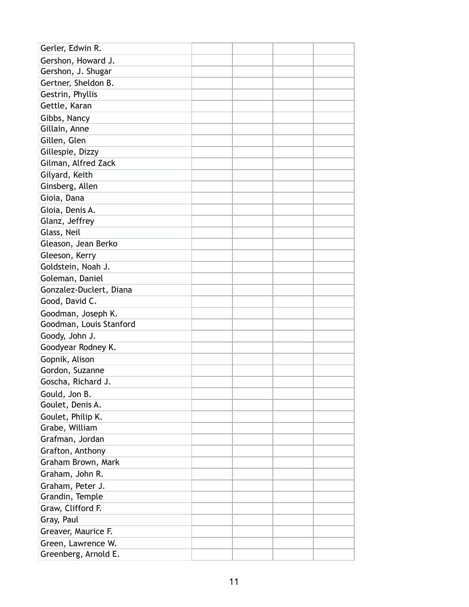| Gerler, Edwin R.        |  |  |
|-------------------------|--|--|
| Gershon, Howard J.      |  |  |
| Gershon, J. Shugar      |  |  |
| Gertner, Sheldon B.     |  |  |
| Gestrin, Phyllis        |  |  |
| Gettle, Karan           |  |  |
| Gibbs, Nancy            |  |  |
| Gillain, Anne           |  |  |
| Gillen, Glen            |  |  |
| Gillespie, Dizzy        |  |  |
| Gilman, Alfred Zack     |  |  |
| Gilyard, Keith          |  |  |
| Ginsberg, Allen         |  |  |
| Gioia, Dana             |  |  |
| Gioia, Denis A.         |  |  |
| Glanz, Jeffrey          |  |  |
| Glass, Neil             |  |  |
| Gleason, Jean Berko     |  |  |
| Gleeson, Kerry          |  |  |
| Goldstein, Noah J.      |  |  |
| Goleman, Daniel         |  |  |
| Gonzalez-Duclert, Diana |  |  |
| Good, David C.          |  |  |
| Goodman, Joseph K.      |  |  |
| Goodman, Louis Stanford |  |  |
| Goody, John J.          |  |  |
| Goodyear Rodney K.      |  |  |
| Gopnik, Alison          |  |  |
| Gordon, Suzanne         |  |  |
| Goscha, Richard J.      |  |  |
| Gould, Jon B.           |  |  |
| Goulet, Denis A.        |  |  |
| Goulet, Philip K.       |  |  |
| Grabe, William          |  |  |
| Grafman, Jordan         |  |  |
| Grafton, Anthony        |  |  |
| Graham Brown, Mark      |  |  |
| Graham, John R.         |  |  |
| Graham, Peter J.        |  |  |
| Grandin, Temple         |  |  |
| Graw, Clifford F.       |  |  |
| Gray, Paul              |  |  |
| Greaver, Maurice F.     |  |  |
| Green, Lawrence W.      |  |  |
| Greenberg, Arnold E.    |  |  |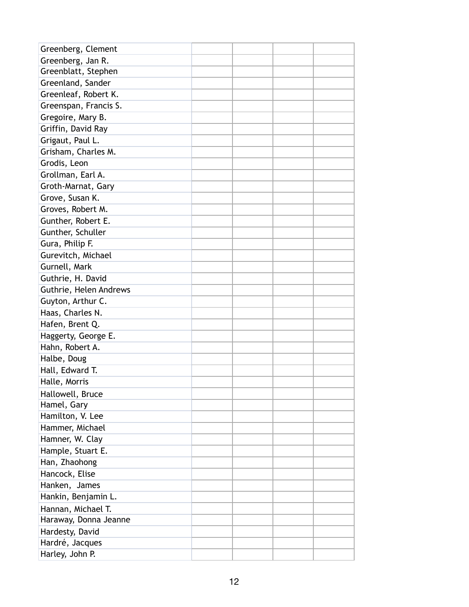| Greenberg, Clement     |  |  |
|------------------------|--|--|
| Greenberg, Jan R.      |  |  |
| Greenblatt, Stephen    |  |  |
| Greenland, Sander      |  |  |
| Greenleaf, Robert K.   |  |  |
| Greenspan, Francis S.  |  |  |
| Gregoire, Mary B.      |  |  |
| Griffin, David Ray     |  |  |
| Grigaut, Paul L.       |  |  |
| Grisham, Charles M.    |  |  |
| Grodis, Leon           |  |  |
| Grollman, Earl A.      |  |  |
| Groth-Marnat, Gary     |  |  |
| Grove, Susan K.        |  |  |
| Groves, Robert M.      |  |  |
| Gunther, Robert E.     |  |  |
| Gunther, Schuller      |  |  |
| Gura, Philip F.        |  |  |
| Gurevitch, Michael     |  |  |
| Gurnell, Mark          |  |  |
| Guthrie, H. David      |  |  |
| Guthrie, Helen Andrews |  |  |
| Guyton, Arthur C.      |  |  |
| Haas, Charles N.       |  |  |
| Hafen, Brent Q.        |  |  |
| Haggerty, George E.    |  |  |
| Hahn, Robert A.        |  |  |
| Halbe, Doug            |  |  |
| Hall, Edward T.        |  |  |
| Halle, Morris          |  |  |
| Hallowell, Bruce       |  |  |
| Hamel, Gary            |  |  |
| Hamilton, V. Lee       |  |  |
| Hammer, Michael        |  |  |
| Hamner, W. Clay        |  |  |
| Hample, Stuart E.      |  |  |
| Han, Zhaohong          |  |  |
| Hancock, Elise         |  |  |
| Hanken, James          |  |  |
| Hankin, Benjamin L.    |  |  |
| Hannan, Michael T.     |  |  |
| Haraway, Donna Jeanne  |  |  |
| Hardesty, David        |  |  |
| Hardré, Jacques        |  |  |
| Harley, John P.        |  |  |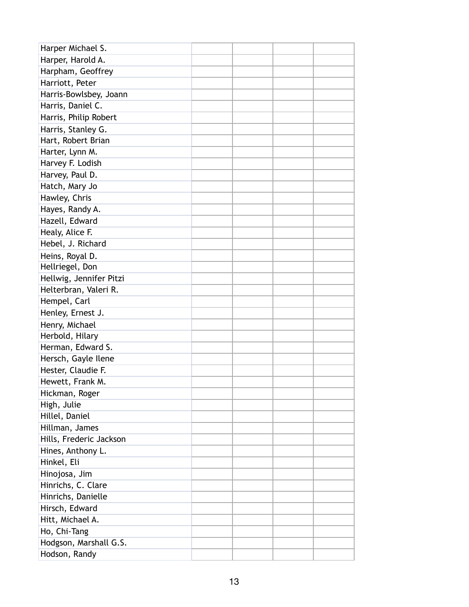| Harper Michael S.       |  |  |
|-------------------------|--|--|
| Harper, Harold A.       |  |  |
| Harpham, Geoffrey       |  |  |
| Harriott, Peter         |  |  |
| Harris-Bowlsbey, Joann  |  |  |
| Harris, Daniel C.       |  |  |
| Harris, Philip Robert   |  |  |
| Harris, Stanley G.      |  |  |
| Hart, Robert Brian      |  |  |
| Harter, Lynn M.         |  |  |
| Harvey F. Lodish        |  |  |
| Harvey, Paul D.         |  |  |
| Hatch, Mary Jo          |  |  |
| Hawley, Chris           |  |  |
| Hayes, Randy A.         |  |  |
| Hazell, Edward          |  |  |
| Healy, Alice F.         |  |  |
| Hebel, J. Richard       |  |  |
| Heins, Royal D.         |  |  |
| Hellriegel, Don         |  |  |
| Hellwig, Jennifer Pitzi |  |  |
| Helterbran, Valeri R.   |  |  |
| Hempel, Carl            |  |  |
| Henley, Ernest J.       |  |  |
| Henry, Michael          |  |  |
| Herbold, Hilary         |  |  |
| Herman, Edward S.       |  |  |
| Hersch, Gayle Ilene     |  |  |
| Hester, Claudie F.      |  |  |
| Hewett, Frank M.        |  |  |
| Hickman, Roger          |  |  |
| High, Julie             |  |  |
| Hillel, Daniel          |  |  |
| Hillman, James          |  |  |
| Hills, Frederic Jackson |  |  |
| Hines, Anthony L.       |  |  |
| Hinkel, Eli             |  |  |
| Hinojosa, Jim           |  |  |
| Hinrichs, C. Clare      |  |  |
| Hinrichs, Danielle      |  |  |
| Hirsch, Edward          |  |  |
| Hitt, Michael A.        |  |  |
| Ho, Chi-Tang            |  |  |
| Hodgson, Marshall G.S.  |  |  |
| Hodson, Randy           |  |  |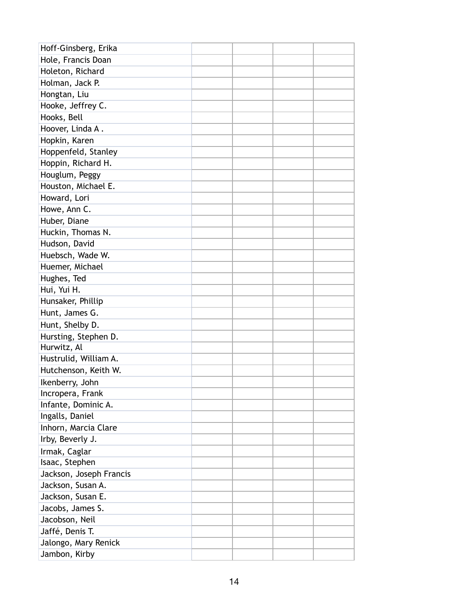| Hoff-Ginsberg, Erika    |  |  |
|-------------------------|--|--|
| Hole, Francis Doan      |  |  |
| Holeton, Richard        |  |  |
| Holman, Jack P.         |  |  |
| Hongtan, Liu            |  |  |
| Hooke, Jeffrey C.       |  |  |
| Hooks, Bell             |  |  |
| Hoover, Linda A.        |  |  |
| Hopkin, Karen           |  |  |
| Hoppenfeld, Stanley     |  |  |
| Hoppin, Richard H.      |  |  |
| Houglum, Peggy          |  |  |
| Houston, Michael E.     |  |  |
| Howard, Lori            |  |  |
| Howe, Ann C.            |  |  |
| Huber, Diane            |  |  |
| Huckin, Thomas N.       |  |  |
| Hudson, David           |  |  |
| Huebsch, Wade W.        |  |  |
| Huemer, Michael         |  |  |
| Hughes, Ted             |  |  |
| Hui, Yui H.             |  |  |
| Hunsaker, Phillip       |  |  |
| Hunt, James G.          |  |  |
| Hunt, Shelby D.         |  |  |
| Hursting, Stephen D.    |  |  |
| Hurwitz, Al             |  |  |
| Hustrulid, William A.   |  |  |
| Hutchenson, Keith W.    |  |  |
| Ikenberry, John         |  |  |
| Incropera, Frank        |  |  |
| Infante, Dominic A.     |  |  |
| Ingalls, Daniel         |  |  |
| Inhorn, Marcia Clare    |  |  |
| Irby, Beverly J.        |  |  |
| Irmak, Caglar           |  |  |
| Isaac, Stephen          |  |  |
| Jackson, Joseph Francis |  |  |
| Jackson, Susan A.       |  |  |
| Jackson, Susan E.       |  |  |
| Jacobs, James S.        |  |  |
| Jacobson, Neil          |  |  |
| Jaffé, Denis T.         |  |  |
| Jalongo, Mary Renick    |  |  |
| Jambon, Kirby           |  |  |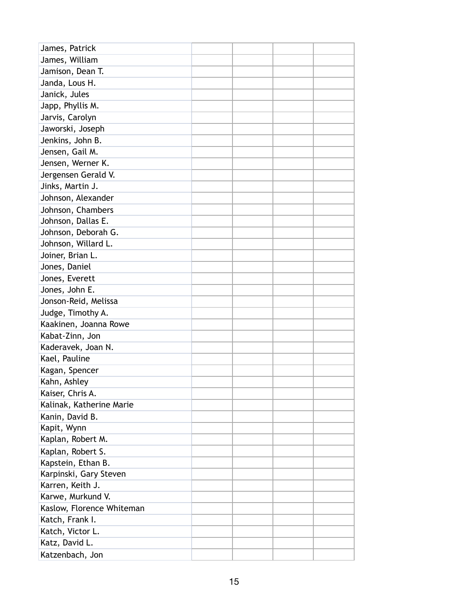| James, Patrick            |  |  |
|---------------------------|--|--|
| James, William            |  |  |
| Jamison, Dean T.          |  |  |
| Janda, Lous H.            |  |  |
| Janick, Jules             |  |  |
| Japp, Phyllis M.          |  |  |
| Jarvis, Carolyn           |  |  |
| Jaworski, Joseph          |  |  |
| Jenkins, John B.          |  |  |
| Jensen, Gail M.           |  |  |
| Jensen, Werner K.         |  |  |
| Jergensen Gerald V.       |  |  |
| Jinks, Martin J.          |  |  |
| Johnson, Alexander        |  |  |
| Johnson, Chambers         |  |  |
| Johnson, Dallas E.        |  |  |
| Johnson, Deborah G.       |  |  |
| Johnson, Willard L.       |  |  |
| Joiner, Brian L.          |  |  |
| Jones, Daniel             |  |  |
| Jones, Everett            |  |  |
| Jones, John E.            |  |  |
| Jonson-Reid, Melissa      |  |  |
| Judge, Timothy A.         |  |  |
| Kaakinen, Joanna Rowe     |  |  |
| Kabat-Zinn, Jon           |  |  |
| Kaderavek, Joan N.        |  |  |
| Kael, Pauline             |  |  |
| Kagan, Spencer            |  |  |
| Kahn, Ashley              |  |  |
| Kaiser, Chris A.          |  |  |
| Kalinak, Katherine Marie  |  |  |
| Kanin, David B.           |  |  |
| Kapit, Wynn               |  |  |
| Kaplan, Robert M.         |  |  |
| Kaplan, Robert S.         |  |  |
| Kapstein, Ethan B.        |  |  |
| Karpinski, Gary Steven    |  |  |
| Karren, Keith J.          |  |  |
| Karwe, Murkund V.         |  |  |
| Kaslow, Florence Whiteman |  |  |
| Katch, Frank I.           |  |  |
| Katch, Victor L.          |  |  |
| Katz, David L.            |  |  |
| Katzenbach, Jon           |  |  |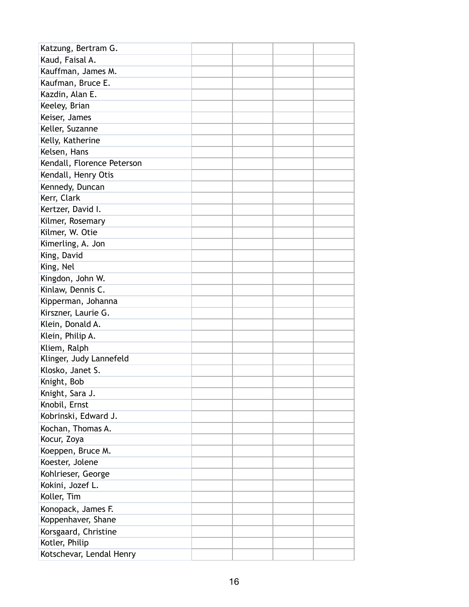| Katzung, Bertram G.        |  |  |
|----------------------------|--|--|
| Kaud, Faisal A.            |  |  |
| Kauffman, James M.         |  |  |
| Kaufman, Bruce E.          |  |  |
| Kazdin, Alan E.            |  |  |
| Keeley, Brian              |  |  |
| Keiser, James              |  |  |
| Keller, Suzanne            |  |  |
| Kelly, Katherine           |  |  |
| Kelsen, Hans               |  |  |
| Kendall, Florence Peterson |  |  |
| Kendall, Henry Otis        |  |  |
| Kennedy, Duncan            |  |  |
| Kerr, Clark                |  |  |
| Kertzer, David I.          |  |  |
| Kilmer, Rosemary           |  |  |
| Kilmer, W. Otie            |  |  |
| Kimerling, A. Jon          |  |  |
| King, David                |  |  |
| King, Nel                  |  |  |
| Kingdon, John W.           |  |  |
| Kinlaw, Dennis C.          |  |  |
| Kipperman, Johanna         |  |  |
| Kirszner, Laurie G.        |  |  |
| Klein, Donald A.           |  |  |
| Klein, Philip A.           |  |  |
| Kliem, Ralph               |  |  |
| Klinger, Judy Lannefeld    |  |  |
| Klosko, Janet S.           |  |  |
| Knight, Bob                |  |  |
| Knight, Sara J.            |  |  |
| Knobil, Ernst              |  |  |
| Kobrinski, Edward J.       |  |  |
| Kochan, Thomas A.          |  |  |
| Kocur, Zoya                |  |  |
| Koeppen, Bruce M.          |  |  |
| Koester, Jolene            |  |  |
| Kohlrieser, George         |  |  |
| Kokini, Jozef L.           |  |  |
| Koller, Tim                |  |  |
| Konopack, James F.         |  |  |
| Koppenhaver, Shane         |  |  |
| Korsgaard, Christine       |  |  |
| Kotler, Philip             |  |  |
| Kotschevar, Lendal Henry   |  |  |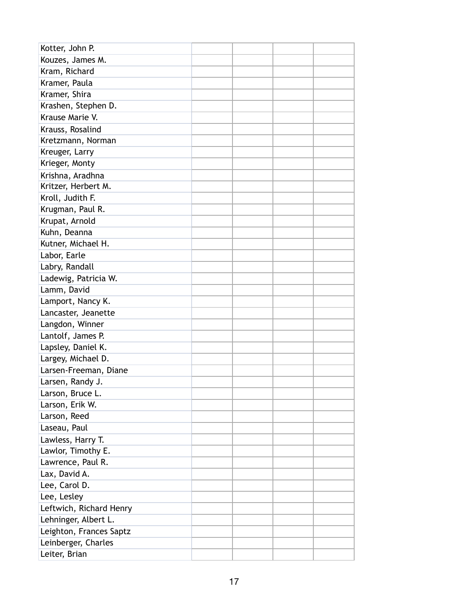| Kotter, John P.         |  |  |
|-------------------------|--|--|
| Kouzes, James M.        |  |  |
| Kram, Richard           |  |  |
| Kramer, Paula           |  |  |
| Kramer, Shira           |  |  |
| Krashen, Stephen D.     |  |  |
| Krause Marie V.         |  |  |
| Krauss, Rosalind        |  |  |
| Kretzmann, Norman       |  |  |
| Kreuger, Larry          |  |  |
| Krieger, Monty          |  |  |
| Krishna, Aradhna        |  |  |
| Kritzer, Herbert M.     |  |  |
| Kroll, Judith F.        |  |  |
| Krugman, Paul R.        |  |  |
| Krupat, Arnold          |  |  |
| Kuhn, Deanna            |  |  |
| Kutner, Michael H.      |  |  |
| Labor, Earle            |  |  |
| Labry, Randall          |  |  |
| Ladewig, Patricia W.    |  |  |
| Lamm, David             |  |  |
| Lamport, Nancy K.       |  |  |
| Lancaster, Jeanette     |  |  |
| Langdon, Winner         |  |  |
| Lantolf, James P.       |  |  |
| Lapsley, Daniel K.      |  |  |
| Largey, Michael D.      |  |  |
| Larsen-Freeman, Diane   |  |  |
| Larsen, Randy J.        |  |  |
| Larson, Bruce L.        |  |  |
| Larson, Erik W.         |  |  |
| Larson, Reed            |  |  |
| Laseau, Paul            |  |  |
| Lawless, Harry T.       |  |  |
| Lawlor, Timothy E.      |  |  |
| Lawrence, Paul R.       |  |  |
| Lax, David A.           |  |  |
| Lee, Carol D.           |  |  |
| Lee, Lesley             |  |  |
| Leftwich, Richard Henry |  |  |
| Lehninger, Albert L.    |  |  |
| Leighton, Frances Saptz |  |  |
| Leinberger, Charles     |  |  |
| Leiter, Brian           |  |  |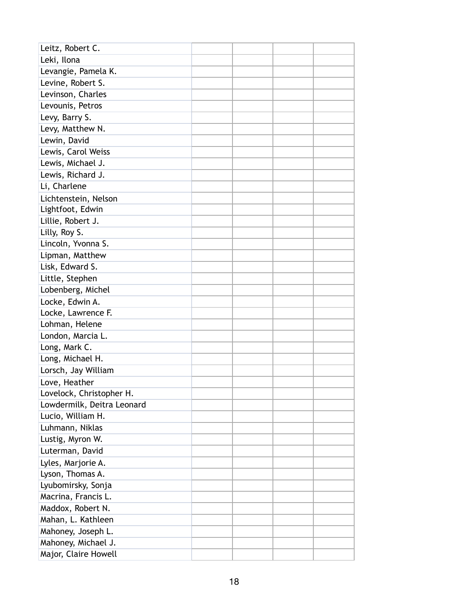| Leitz, Robert C.           |  |  |
|----------------------------|--|--|
| Leki, Ilona                |  |  |
| Levangie, Pamela K.        |  |  |
| Levine, Robert S.          |  |  |
| Levinson, Charles          |  |  |
| Levounis, Petros           |  |  |
| Levy, Barry S.             |  |  |
| Levy, Matthew N.           |  |  |
| Lewin, David               |  |  |
| Lewis, Carol Weiss         |  |  |
| Lewis, Michael J.          |  |  |
| Lewis, Richard J.          |  |  |
| Li, Charlene               |  |  |
| Lichtenstein, Nelson       |  |  |
| Lightfoot, Edwin           |  |  |
| Lillie, Robert J.          |  |  |
| Lilly, Roy S.              |  |  |
| Lincoln, Yvonna S.         |  |  |
| Lipman, Matthew            |  |  |
| Lisk, Edward S.            |  |  |
| Little, Stephen            |  |  |
| Lobenberg, Michel          |  |  |
| Locke, Edwin A.            |  |  |
| Locke, Lawrence F.         |  |  |
| Lohman, Helene             |  |  |
| London, Marcia L.          |  |  |
| Long, Mark C.              |  |  |
| Long, Michael H.           |  |  |
| Lorsch, Jay William        |  |  |
| Love, Heather              |  |  |
| Lovelock, Christopher H.   |  |  |
| Lowdermilk, Deitra Leonard |  |  |
| Lucio, William H.          |  |  |
| Luhmann, Niklas            |  |  |
| Lustig, Myron W.           |  |  |
| Luterman, David            |  |  |
| Lyles, Marjorie A.         |  |  |
| Lyson, Thomas A.           |  |  |
| Lyubomirsky, Sonja         |  |  |
| Macrina, Francis L.        |  |  |
| Maddox, Robert N.          |  |  |
| Mahan, L. Kathleen         |  |  |
| Mahoney, Joseph L.         |  |  |
| Mahoney, Michael J.        |  |  |
| Major, Claire Howell       |  |  |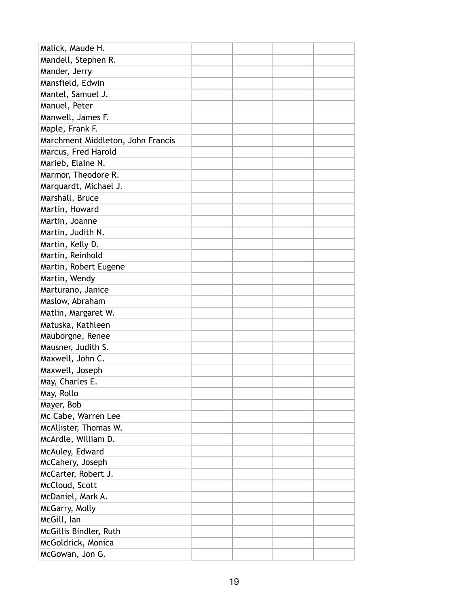| Malick, Maude H.                  |  |  |
|-----------------------------------|--|--|
| Mandell, Stephen R.               |  |  |
| Mander, Jerry                     |  |  |
| Mansfield, Edwin                  |  |  |
| Mantel, Samuel J.                 |  |  |
| Manuel, Peter                     |  |  |
| Manwell, James F.                 |  |  |
| Maple, Frank F.                   |  |  |
| Marchment Middleton, John Francis |  |  |
| Marcus, Fred Harold               |  |  |
| Marieb, Elaine N.                 |  |  |
| Marmor, Theodore R.               |  |  |
| Marquardt, Michael J.             |  |  |
| Marshall, Bruce                   |  |  |
| Martin, Howard                    |  |  |
| Martin, Joanne                    |  |  |
| Martin, Judith N.                 |  |  |
| Martin, Kelly D.                  |  |  |
| Martin, Reinhold                  |  |  |
| Martin, Robert Eugene             |  |  |
| Martin, Wendy                     |  |  |
| Marturano, Janice                 |  |  |
| Maslow, Abraham                   |  |  |
| Matlin, Margaret W.               |  |  |
| Matuska, Kathleen                 |  |  |
| Mauborgne, Renee                  |  |  |
| Mausner, Judith S.                |  |  |
| Maxwell, John C.                  |  |  |
| Maxwell, Joseph                   |  |  |
| May, Charles E.                   |  |  |
| May, Rollo                        |  |  |
| Mayer, Bob                        |  |  |
| Mc Cabe, Warren Lee               |  |  |
| McAllister, Thomas W.             |  |  |
| McArdle, William D.               |  |  |
| McAuley, Edward                   |  |  |
| McCahery, Joseph                  |  |  |
| McCarter, Robert J.               |  |  |
| McCloud, Scott                    |  |  |
| McDaniel, Mark A.                 |  |  |
| McGarry, Molly                    |  |  |
| McGill, lan                       |  |  |
| McGillis Bindler, Ruth            |  |  |
| McGoldrick, Monica                |  |  |
| McGowan, Jon G.                   |  |  |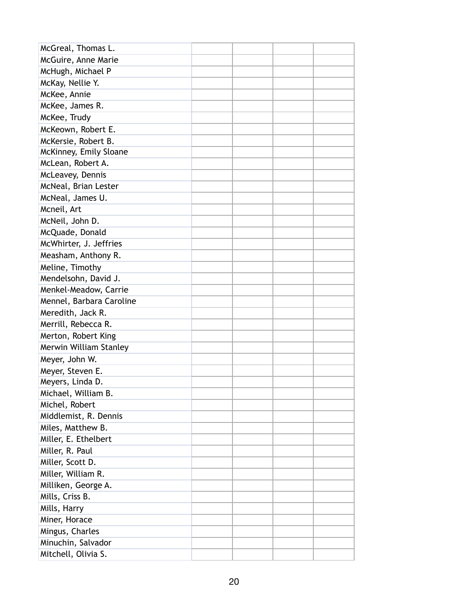| McGreal, Thomas L.       |  |  |
|--------------------------|--|--|
| McGuire, Anne Marie      |  |  |
| McHugh, Michael P        |  |  |
| McKay, Nellie Y.         |  |  |
| McKee, Annie             |  |  |
| McKee, James R.          |  |  |
| McKee, Trudy             |  |  |
| McKeown, Robert E.       |  |  |
| McKersie, Robert B.      |  |  |
| McKinney, Emily Sloane   |  |  |
| McLean, Robert A.        |  |  |
| McLeavey, Dennis         |  |  |
| McNeal, Brian Lester     |  |  |
| McNeal, James U.         |  |  |
| Mcneil, Art              |  |  |
| McNeil, John D.          |  |  |
| McQuade, Donald          |  |  |
| McWhirter, J. Jeffries   |  |  |
| Measham, Anthony R.      |  |  |
| Meline, Timothy          |  |  |
| Mendelsohn, David J.     |  |  |
| Menkel-Meadow, Carrie    |  |  |
| Mennel, Barbara Caroline |  |  |
| Meredith, Jack R.        |  |  |
| Merrill, Rebecca R.      |  |  |
| Merton, Robert King      |  |  |
| Merwin William Stanley   |  |  |
| Meyer, John W.           |  |  |
| Meyer, Steven E.         |  |  |
| Meyers, Linda D.         |  |  |
| Michael, William B.      |  |  |
| Michel, Robert           |  |  |
| Middlemist, R. Dennis    |  |  |
| Miles, Matthew B.        |  |  |
| Miller, E. Ethelbert     |  |  |
| Miller, R. Paul          |  |  |
| Miller, Scott D.         |  |  |
| Miller, William R.       |  |  |
| Milliken, George A.      |  |  |
| Mills, Criss B.          |  |  |
| Mills, Harry             |  |  |
| Miner, Horace            |  |  |
| Mingus, Charles          |  |  |
| Minuchin, Salvador       |  |  |
| Mitchell, Olivia S.      |  |  |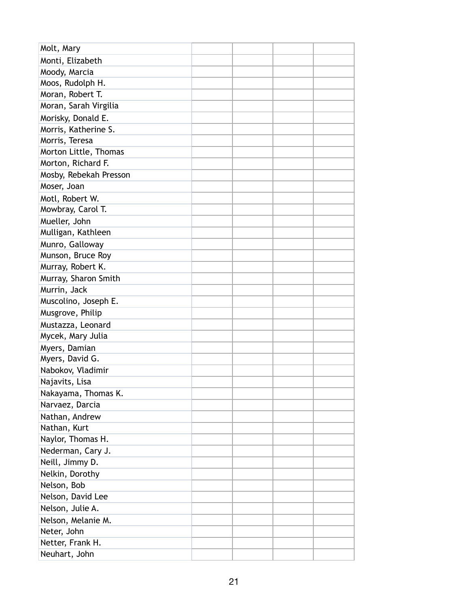| Molt, Mary             |  |  |
|------------------------|--|--|
| Monti, Elizabeth       |  |  |
| Moody, Marcia          |  |  |
| Moos, Rudolph H.       |  |  |
| Moran, Robert T.       |  |  |
| Moran, Sarah Virgilia  |  |  |
| Morisky, Donald E.     |  |  |
| Morris, Katherine S.   |  |  |
| Morris, Teresa         |  |  |
| Morton Little, Thomas  |  |  |
| Morton, Richard F.     |  |  |
| Mosby, Rebekah Presson |  |  |
| Moser, Joan            |  |  |
| Motl, Robert W.        |  |  |
| Mowbray, Carol T.      |  |  |
| Mueller, John          |  |  |
| Mulligan, Kathleen     |  |  |
| Munro, Galloway        |  |  |
| Munson, Bruce Roy      |  |  |
| Murray, Robert K.      |  |  |
| Murray, Sharon Smith   |  |  |
| Murrin, Jack           |  |  |
| Muscolino, Joseph E.   |  |  |
| Musgrove, Philip       |  |  |
| Mustazza, Leonard      |  |  |
| Mycek, Mary Julia      |  |  |
| Myers, Damian          |  |  |
| Myers, David G.        |  |  |
| Nabokov, Vladimir      |  |  |
| Najavits, Lisa         |  |  |
| Nakayama, Thomas K.    |  |  |
| Narvaez, Darcia        |  |  |
| Nathan, Andrew         |  |  |
| Nathan, Kurt           |  |  |
| Naylor, Thomas H.      |  |  |
| Nederman, Cary J.      |  |  |
| Neill, Jimmy D.        |  |  |
| Nelkin, Dorothy        |  |  |
| Nelson, Bob            |  |  |
| Nelson, David Lee      |  |  |
| Nelson, Julie A.       |  |  |
| Nelson, Melanie M.     |  |  |
| Neter, John            |  |  |
| Netter, Frank H.       |  |  |
| Neuhart, John          |  |  |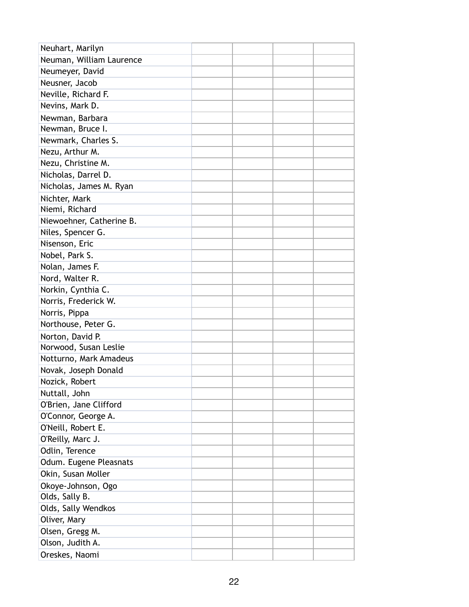| Neuhart, Marilyn         |  |  |
|--------------------------|--|--|
| Neuman, William Laurence |  |  |
| Neumeyer, David          |  |  |
| Neusner, Jacob           |  |  |
| Neville, Richard F.      |  |  |
| Nevins, Mark D.          |  |  |
| Newman, Barbara          |  |  |
| Newman, Bruce I.         |  |  |
| Newmark, Charles S.      |  |  |
| Nezu, Arthur M.          |  |  |
| Nezu, Christine M.       |  |  |
| Nicholas, Darrel D.      |  |  |
| Nicholas, James M. Ryan  |  |  |
| Nichter, Mark            |  |  |
| Niemi, Richard           |  |  |
| Niewoehner, Catherine B. |  |  |
| Niles, Spencer G.        |  |  |
| Nisenson, Eric           |  |  |
| Nobel, Park S.           |  |  |
| Nolan, James F.          |  |  |
| Nord, Walter R.          |  |  |
| Norkin, Cynthia C.       |  |  |
| Norris, Frederick W.     |  |  |
| Norris, Pippa            |  |  |
| Northouse, Peter G.      |  |  |
| Norton, David P.         |  |  |
| Norwood, Susan Leslie    |  |  |
| Notturno, Mark Amadeus   |  |  |
| Novak, Joseph Donald     |  |  |
| Nozick, Robert           |  |  |
| Nuttall, John            |  |  |
| O'Brien, Jane Clifford   |  |  |
| O'Connor, George A.      |  |  |
| O'Neill, Robert E.       |  |  |
| O'Reilly, Marc J.        |  |  |
| Odlin, Terence           |  |  |
| Odum. Eugene Pleasnats   |  |  |
| Okin, Susan Moller       |  |  |
| Okoye-Johnson, Ogo       |  |  |
| Olds, Sally B.           |  |  |
| Olds, Sally Wendkos      |  |  |
| Oliver, Mary             |  |  |
| Olsen, Gregg M.          |  |  |
| Olson, Judith A.         |  |  |
| Oreskes, Naomi           |  |  |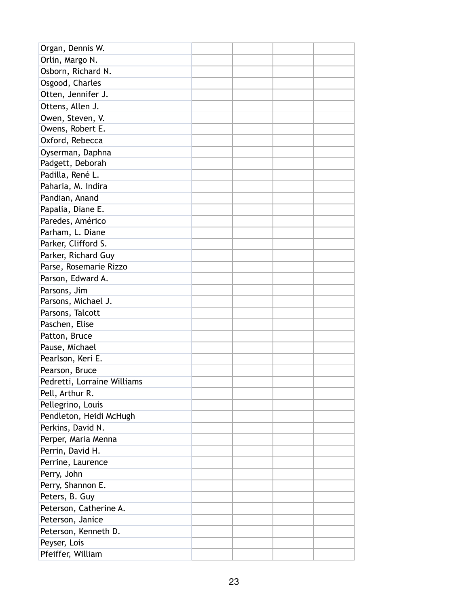| Organ, Dennis W.            |  |  |
|-----------------------------|--|--|
| Orlin, Margo N.             |  |  |
| Osborn, Richard N.          |  |  |
| Osgood, Charles             |  |  |
| Otten, Jennifer J.          |  |  |
| Ottens, Allen J.            |  |  |
| Owen, Steven, V.            |  |  |
| Owens, Robert E.            |  |  |
| Oxford, Rebecca             |  |  |
| Oyserman, Daphna            |  |  |
| Padgett, Deborah            |  |  |
| Padilla, René L.            |  |  |
| Paharia, M. Indira          |  |  |
| Pandian, Anand              |  |  |
| Papalia, Diane E.           |  |  |
| Paredes, Américo            |  |  |
| Parham, L. Diane            |  |  |
| Parker, Clifford S.         |  |  |
| Parker, Richard Guy         |  |  |
| Parse, Rosemarie Rizzo      |  |  |
| Parson, Edward A.           |  |  |
| Parsons, Jim                |  |  |
| Parsons, Michael J.         |  |  |
| Parsons, Talcott            |  |  |
| Paschen, Elise              |  |  |
| Patton, Bruce               |  |  |
| Pause, Michael              |  |  |
| Pearlson, Keri E.           |  |  |
| Pearson, Bruce              |  |  |
| Pedretti, Lorraine Williams |  |  |
| Pell, Arthur R.             |  |  |
| Pellegrino, Louis           |  |  |
| Pendleton, Heidi McHugh     |  |  |
| Perkins, David N.           |  |  |
| Perper, Maria Menna         |  |  |
| Perrin, David H.            |  |  |
| Perrine, Laurence           |  |  |
| Perry, John                 |  |  |
| Perry, Shannon E.           |  |  |
| Peters, B. Guy              |  |  |
| Peterson, Catherine A.      |  |  |
| Peterson, Janice            |  |  |
| Peterson, Kenneth D.        |  |  |
| Peyser, Lois                |  |  |
| Pfeiffer, William           |  |  |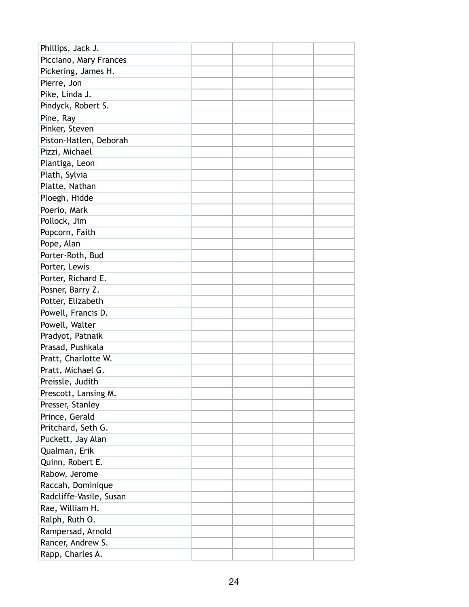| Phillips, Jack J.       |  |  |
|-------------------------|--|--|
| Picciano, Mary Frances  |  |  |
| Pickering, James H.     |  |  |
| Pierre, Jon             |  |  |
| Pike, Linda J.          |  |  |
| Pindyck, Robert S.      |  |  |
| Pine, Ray               |  |  |
| Pinker, Steven          |  |  |
| Piston-Hatlen, Deborah  |  |  |
| Pizzi, Michael          |  |  |
| Plantiga, Leon          |  |  |
| Plath, Sylvia           |  |  |
| Platte, Nathan          |  |  |
| Ploegh, Hidde           |  |  |
| Poerio, Mark            |  |  |
| Pollock, Jim            |  |  |
| Popcorn, Faith          |  |  |
| Pope, Alan              |  |  |
| Porter-Roth, Bud        |  |  |
| Porter, Lewis           |  |  |
| Porter, Richard E.      |  |  |
| Posner, Barry Z.        |  |  |
| Potter, Elizabeth       |  |  |
| Powell, Francis D.      |  |  |
| Powell, Walter          |  |  |
| Pradyot, Patnaik        |  |  |
| Prasad, Pushkala        |  |  |
| Pratt, Charlotte W.     |  |  |
| Pratt, Michael G.       |  |  |
| Preissle, Judith        |  |  |
| Prescott, Lansing M.    |  |  |
| Presser, Stanley        |  |  |
| Prince, Gerald          |  |  |
| Pritchard, Seth G.      |  |  |
| Puckett, Jay Alan       |  |  |
| Qualman, Erik           |  |  |
| Quinn, Robert E.        |  |  |
| Rabow, Jerome           |  |  |
| Raccah, Dominique       |  |  |
| Radcliffe-Vasile, Susan |  |  |
| Rae, William H.         |  |  |
| Ralph, Ruth O.          |  |  |
| Rampersad, Arnold       |  |  |
| Rancer, Andrew S.       |  |  |
| Rapp, Charles A.        |  |  |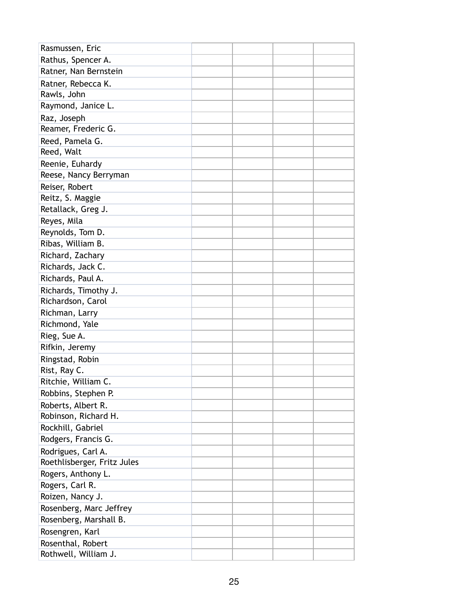| Rasmussen, Eric             |  |  |
|-----------------------------|--|--|
| Rathus, Spencer A.          |  |  |
| Ratner, Nan Bernstein       |  |  |
| Ratner, Rebecca K.          |  |  |
| Rawls, John                 |  |  |
| Raymond, Janice L.          |  |  |
| Raz, Joseph                 |  |  |
| Reamer, Frederic G.         |  |  |
| Reed, Pamela G.             |  |  |
| Reed, Walt                  |  |  |
| Reenie, Euhardy             |  |  |
| Reese, Nancy Berryman       |  |  |
| Reiser, Robert              |  |  |
| Reitz, S. Maggie            |  |  |
| Retallack, Greg J.          |  |  |
| Reyes, Mila                 |  |  |
| Reynolds, Tom D.            |  |  |
| Ribas, William B.           |  |  |
| Richard, Zachary            |  |  |
| Richards, Jack C.           |  |  |
| Richards, Paul A.           |  |  |
| Richards, Timothy J.        |  |  |
| Richardson, Carol           |  |  |
| Richman, Larry              |  |  |
| Richmond, Yale              |  |  |
| Rieg, Sue A.                |  |  |
| Rifkin, Jeremy              |  |  |
| Ringstad, Robin             |  |  |
| Rist, Ray C.                |  |  |
| Ritchie, William C.         |  |  |
| Robbins, Stephen P.         |  |  |
| Roberts, Albert R.          |  |  |
| Robinson, Richard H.        |  |  |
| Rockhill, Gabriel           |  |  |
| Rodgers, Francis G.         |  |  |
| Rodrigues, Carl A.          |  |  |
| Roethlisberger, Fritz Jules |  |  |
| Rogers, Anthony L.          |  |  |
| Rogers, Carl R.             |  |  |
| Roizen, Nancy J.            |  |  |
| Rosenberg, Marc Jeffrey     |  |  |
| Rosenberg, Marshall B.      |  |  |
| Rosengren, Karl             |  |  |
| Rosenthal, Robert           |  |  |
| Rothwell, William J.        |  |  |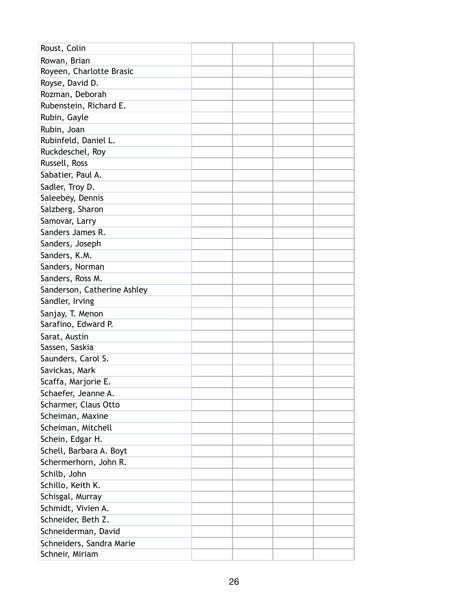| Roust, Colin                |  |  |
|-----------------------------|--|--|
| Rowan, Brian                |  |  |
| Royeen, Charlotte Brasic    |  |  |
| Royse, David D.             |  |  |
| Rozman, Deborah             |  |  |
| Rubenstein, Richard E.      |  |  |
| Rubin, Gayle                |  |  |
| Rubin, Joan                 |  |  |
| Rubinfeld, Daniel L.        |  |  |
| Ruckdeschel, Roy            |  |  |
| Russell, Ross               |  |  |
| Sabatier, Paul A.           |  |  |
| Sadler, Troy D.             |  |  |
| Saleebey, Dennis            |  |  |
| Salzberg, Sharon            |  |  |
| Samovar, Larry              |  |  |
| Sanders James R.            |  |  |
| Sanders, Joseph             |  |  |
| Sanders, K.M.               |  |  |
| Sanders, Norman             |  |  |
| Sanders, Ross M.            |  |  |
| Sanderson, Catherine Ashley |  |  |
| Sandler, Irving             |  |  |
| Sanjay, T. Menon            |  |  |
| Sarafino, Edward P.         |  |  |
| Sarat, Austin               |  |  |
| Sassen, Saskia              |  |  |
| Saunders, Carol S.          |  |  |
| Savickas, Mark              |  |  |
| Scaffa, Marjorie E.         |  |  |
| Schaefer, Jeanne A.         |  |  |
| Scharmer, Claus Otto        |  |  |
| Scheiman, Maxine            |  |  |
| Scheiman, Mitchell          |  |  |
| Schein, Edgar H.            |  |  |
| Schell, Barbara A. Boyt     |  |  |
| Schermerhorn, John R.       |  |  |
| Schilb, John                |  |  |
| Schillo, Keith K.           |  |  |
| Schisgal, Murray            |  |  |
| Schmidt, Vivien A.          |  |  |
| Schneider, Beth Z.          |  |  |
| Schneiderman, David         |  |  |
| Schneiders, Sandra Marie    |  |  |
| Schneir, Miriam             |  |  |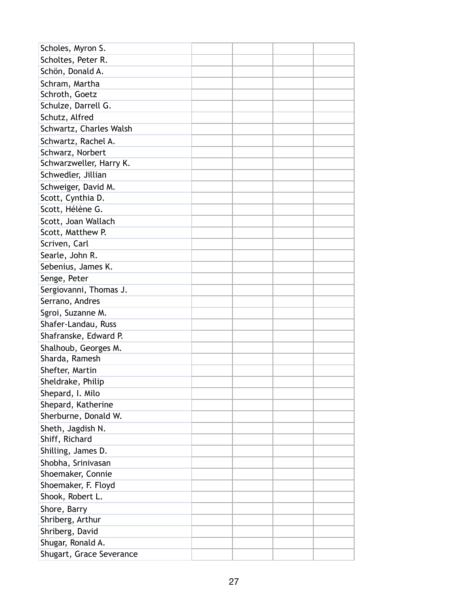| Scholes, Myron S.        |  |  |
|--------------------------|--|--|
| Scholtes, Peter R.       |  |  |
| Schön, Donald A.         |  |  |
| Schram, Martha           |  |  |
| Schroth, Goetz           |  |  |
| Schulze, Darrell G.      |  |  |
| Schutz, Alfred           |  |  |
| Schwartz, Charles Walsh  |  |  |
| Schwartz, Rachel A.      |  |  |
| Schwarz, Norbert         |  |  |
| Schwarzweller, Harry K.  |  |  |
| Schwedler, Jillian       |  |  |
| Schweiger, David M.      |  |  |
| Scott, Cynthia D.        |  |  |
| Scott, Hélène G.         |  |  |
| Scott, Joan Wallach      |  |  |
| Scott, Matthew P.        |  |  |
| Scriven, Carl            |  |  |
| Searle, John R.          |  |  |
| Sebenius, James K.       |  |  |
| Senge, Peter             |  |  |
| Sergiovanni, Thomas J.   |  |  |
| Serrano, Andres          |  |  |
| Sgroi, Suzanne M.        |  |  |
| Shafer-Landau, Russ      |  |  |
| Shafranske, Edward P.    |  |  |
| Shalhoub, Georges M.     |  |  |
| Sharda, Ramesh           |  |  |
| Shefter, Martin          |  |  |
| Sheldrake, Philip        |  |  |
| Shepard, I. Milo         |  |  |
| Shepard, Katherine       |  |  |
| Sherburne, Donald W.     |  |  |
| Sheth, Jagdish N.        |  |  |
| Shiff, Richard           |  |  |
| Shilling, James D.       |  |  |
| Shobha, Srinivasan       |  |  |
| Shoemaker, Connie        |  |  |
| Shoemaker, F. Floyd      |  |  |
| Shook, Robert L.         |  |  |
| Shore, Barry             |  |  |
| Shriberg, Arthur         |  |  |
| Shriberg, David          |  |  |
| Shugar, Ronald A.        |  |  |
| Shugart, Grace Severance |  |  |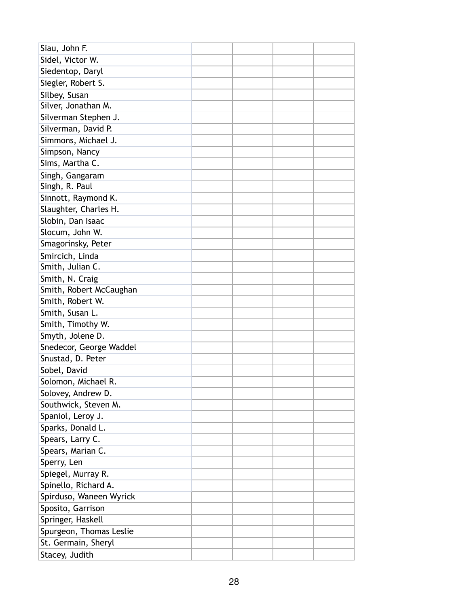| Siau, John F.           |  |  |
|-------------------------|--|--|
| Sidel, Victor W.        |  |  |
| Siedentop, Daryl        |  |  |
| Siegler, Robert S.      |  |  |
| Silbey, Susan           |  |  |
| Silver, Jonathan M.     |  |  |
| Silverman Stephen J.    |  |  |
| Silverman, David P.     |  |  |
| Simmons, Michael J.     |  |  |
| Simpson, Nancy          |  |  |
| Sims, Martha C.         |  |  |
| Singh, Gangaram         |  |  |
| Singh, R. Paul          |  |  |
| Sinnott, Raymond K.     |  |  |
| Slaughter, Charles H.   |  |  |
| Slobin, Dan Isaac       |  |  |
| Slocum, John W.         |  |  |
| Smagorinsky, Peter      |  |  |
| Smircich, Linda         |  |  |
| Smith, Julian C.        |  |  |
| Smith, N. Craig         |  |  |
| Smith, Robert McCaughan |  |  |
| Smith, Robert W.        |  |  |
| Smith, Susan L.         |  |  |
| Smith, Timothy W.       |  |  |
| Smyth, Jolene D.        |  |  |
| Snedecor, George Waddel |  |  |
| Snustad, D. Peter       |  |  |
| Sobel, David            |  |  |
| Solomon, Michael R.     |  |  |
| Solovey, Andrew D.      |  |  |
| Southwick, Steven M.    |  |  |
| Spaniol, Leroy J.       |  |  |
| Sparks, Donald L.       |  |  |
| Spears, Larry C.        |  |  |
| Spears, Marian C.       |  |  |
| Sperry, Len             |  |  |
| Spiegel, Murray R.      |  |  |
| Spinello, Richard A.    |  |  |
| Spirduso, Waneen Wyrick |  |  |
| Sposito, Garrison       |  |  |
| Springer, Haskell       |  |  |
| Spurgeon, Thomas Leslie |  |  |
| St. Germain, Sheryl     |  |  |
| Stacey, Judith          |  |  |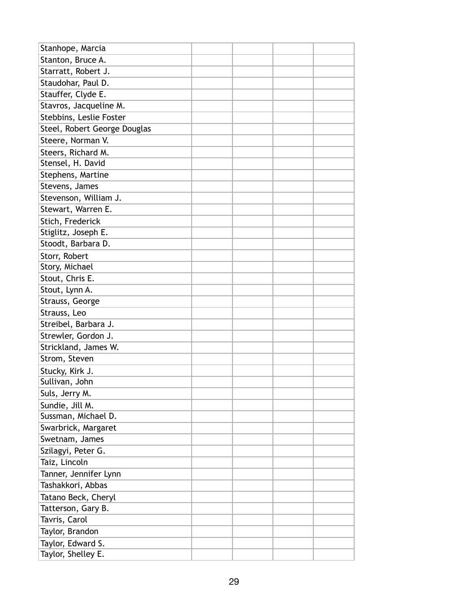| Stanhope, Marcia             |  |  |
|------------------------------|--|--|
| Stanton, Bruce A.            |  |  |
| Starratt, Robert J.          |  |  |
| Staudohar, Paul D.           |  |  |
| Stauffer, Clyde E.           |  |  |
| Stavros, Jacqueline M.       |  |  |
| Stebbins, Leslie Foster      |  |  |
| Steel, Robert George Douglas |  |  |
| Steere, Norman V.            |  |  |
| Steers, Richard M.           |  |  |
| Stensel, H. David            |  |  |
| Stephens, Martine            |  |  |
| Stevens, James               |  |  |
| Stevenson, William J.        |  |  |
| Stewart, Warren E.           |  |  |
| Stich, Frederick             |  |  |
| Stiglitz, Joseph E.          |  |  |
| Stoodt, Barbara D.           |  |  |
| Storr, Robert                |  |  |
| Story, Michael               |  |  |
| Stout, Chris E.              |  |  |
| Stout, Lynn A.               |  |  |
| Strauss, George              |  |  |
| Strauss, Leo                 |  |  |
| Streibel, Barbara J.         |  |  |
| Strewler, Gordon J.          |  |  |
| Strickland, James W.         |  |  |
| Strom, Steven                |  |  |
| Stucky, Kirk J.              |  |  |
| Sullivan, John               |  |  |
| Suls, Jerry M.               |  |  |
| Sundie, Jill M.              |  |  |
| Sussman, Michael D.          |  |  |
| Swarbrick, Margaret          |  |  |
| Swetnam, James               |  |  |
| Szilagyi, Peter G.           |  |  |
| Taiz, Lincoln                |  |  |
| Tanner, Jennifer Lynn        |  |  |
| Tashakkori, Abbas            |  |  |
| Tatano Beck, Cheryl          |  |  |
| Tatterson, Gary B.           |  |  |
| Tavris, Carol                |  |  |
| Taylor, Brandon              |  |  |
| Taylor, Edward S.            |  |  |
| Taylor, Shelley E.           |  |  |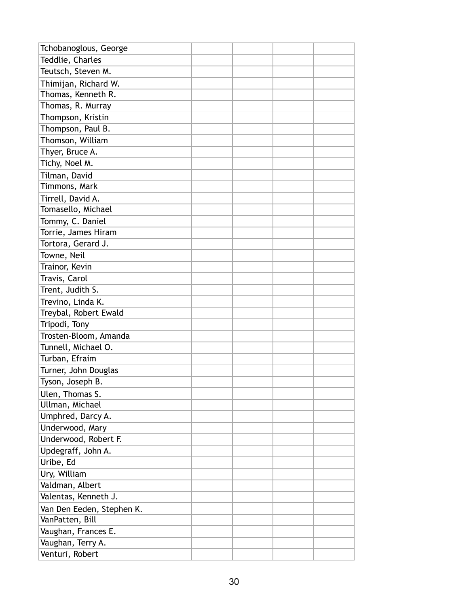| Tchobanoglous, George     |  |  |
|---------------------------|--|--|
| Teddlie, Charles          |  |  |
| Teutsch, Steven M.        |  |  |
| Thimijan, Richard W.      |  |  |
| Thomas, Kenneth R.        |  |  |
| Thomas, R. Murray         |  |  |
| Thompson, Kristin         |  |  |
| Thompson, Paul B.         |  |  |
| Thomson, William          |  |  |
| Thyer, Bruce A.           |  |  |
| Tichy, Noel M.            |  |  |
| Tilman, David             |  |  |
| Timmons, Mark             |  |  |
| Tirrell, David A.         |  |  |
| Tomasello, Michael        |  |  |
| Tommy, C. Daniel          |  |  |
| Torrie, James Hiram       |  |  |
| Tortora, Gerard J.        |  |  |
| Towne, Neil               |  |  |
| Trainor, Kevin            |  |  |
| Travis, Carol             |  |  |
| Trent, Judith S.          |  |  |
| Trevino, Linda K.         |  |  |
| Treybal, Robert Ewald     |  |  |
| Tripodi, Tony             |  |  |
| Trosten-Bloom, Amanda     |  |  |
| Tunnell, Michael O.       |  |  |
| Turban, Efraim            |  |  |
| Turner, John Douglas      |  |  |
| Tyson, Joseph B.          |  |  |
| Ulen, Thomas S.           |  |  |
| Ullman, Michael           |  |  |
| Umphred, Darcy A.         |  |  |
| Underwood, Mary           |  |  |
| Underwood, Robert F.      |  |  |
| Updegraff, John A.        |  |  |
| Uribe, Ed                 |  |  |
| Ury, William              |  |  |
| Valdman, Albert           |  |  |
| Valentas, Kenneth J.      |  |  |
| Van Den Eeden, Stephen K. |  |  |
| VanPatten, Bill           |  |  |
| Vaughan, Frances E.       |  |  |
| Vaughan, Terry A.         |  |  |
| Venturi, Robert           |  |  |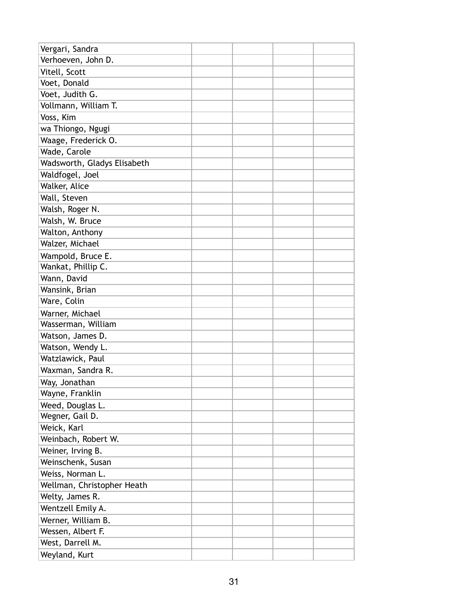| Vergari, Sandra             |  |  |
|-----------------------------|--|--|
| Verhoeven, John D.          |  |  |
| Vitell, Scott               |  |  |
| Voet, Donald                |  |  |
| Voet, Judith G.             |  |  |
| Vollmann, William T.        |  |  |
| Voss, Kim                   |  |  |
| wa Thiongo, Ngugi           |  |  |
| Waage, Frederick O.         |  |  |
| Wade, Carole                |  |  |
| Wadsworth, Gladys Elisabeth |  |  |
| Waldfogel, Joel             |  |  |
| Walker, Alice               |  |  |
| Wall, Steven                |  |  |
| Walsh, Roger N.             |  |  |
| Walsh, W. Bruce             |  |  |
| Walton, Anthony             |  |  |
| Walzer, Michael             |  |  |
| Wampold, Bruce E.           |  |  |
| Wankat, Phillip C.          |  |  |
| Wann, David                 |  |  |
| Wansink, Brian              |  |  |
| Ware, Colin                 |  |  |
| Warner, Michael             |  |  |
| Wasserman, William          |  |  |
| Watson, James D.            |  |  |
| Watson, Wendy L.            |  |  |
| Watzlawick, Paul            |  |  |
| Waxman, Sandra R.           |  |  |
| Way, Jonathan               |  |  |
| Wayne, Franklin             |  |  |
| Weed, Douglas L.            |  |  |
| Wegner, Gail D.             |  |  |
| Weick, Karl                 |  |  |
| Weinbach, Robert W.         |  |  |
| Weiner, Irving B.           |  |  |
| Weinschenk, Susan           |  |  |
| Weiss, Norman L.            |  |  |
| Wellman, Christopher Heath  |  |  |
| Welty, James R.             |  |  |
| Wentzell Emily A.           |  |  |
| Werner, William B.          |  |  |
| Wessen, Albert F.           |  |  |
| West, Darrell M.            |  |  |
| Weyland, Kurt               |  |  |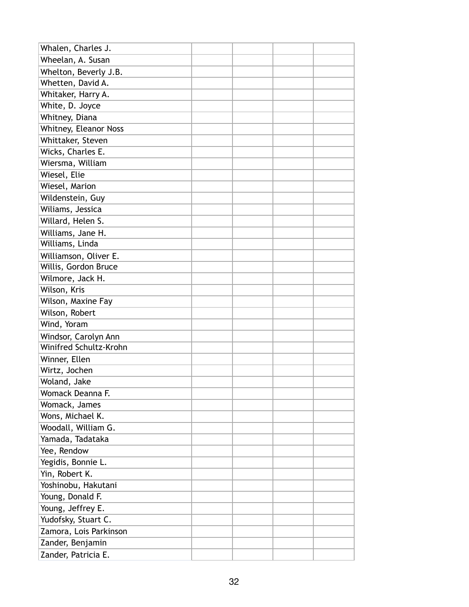| Whalen, Charles J.     |  |  |
|------------------------|--|--|
| Wheelan, A. Susan      |  |  |
| Whelton, Beverly J.B.  |  |  |
| Whetten, David A.      |  |  |
| Whitaker, Harry A.     |  |  |
| White, D. Joyce        |  |  |
| Whitney, Diana         |  |  |
| Whitney, Eleanor Noss  |  |  |
| Whittaker, Steven      |  |  |
| Wicks, Charles E.      |  |  |
| Wiersma, William       |  |  |
| Wiesel, Elie           |  |  |
| Wiesel, Marion         |  |  |
| Wildenstein, Guy       |  |  |
| Wiliams, Jessica       |  |  |
| Willard, Helen S.      |  |  |
| Williams, Jane H.      |  |  |
| Williams, Linda        |  |  |
| Williamson, Oliver E.  |  |  |
| Willis, Gordon Bruce   |  |  |
| Wilmore, Jack H.       |  |  |
| Wilson, Kris           |  |  |
| Wilson, Maxine Fay     |  |  |
| Wilson, Robert         |  |  |
| Wind, Yoram            |  |  |
| Windsor, Carolyn Ann   |  |  |
| Winifred Schultz-Krohn |  |  |
| Winner, Ellen          |  |  |
| Wirtz, Jochen          |  |  |
| Woland, Jake           |  |  |
| Womack Deanna F.       |  |  |
| Womack, James          |  |  |
| Wons, Michael K.       |  |  |
| Woodall, William G.    |  |  |
| Yamada, Tadataka       |  |  |
| Yee, Rendow            |  |  |
| Yegidis, Bonnie L.     |  |  |
| Yin, Robert K.         |  |  |
| Yoshinobu, Hakutani    |  |  |
| Young, Donald F.       |  |  |
| Young, Jeffrey E.      |  |  |
| Yudofsky, Stuart C.    |  |  |
| Zamora, Lois Parkinson |  |  |
| Zander, Benjamin       |  |  |
| Zander, Patricia E.    |  |  |